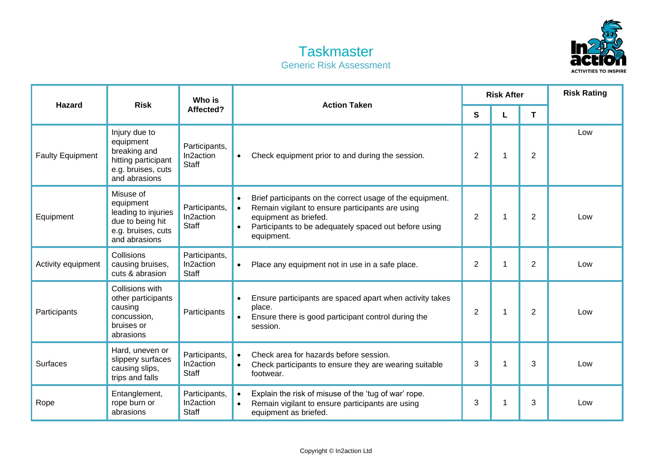## **Taskmaster** Generic Risk Assessment



| <b>Hazard</b>           | <b>Risk</b>                                                                                              | Who is<br>Affected?                        | <b>Action Taken</b>                                                                                                                                                                                                                                  | <b>Risk After</b> |             |                | <b>Risk Rating</b> |
|-------------------------|----------------------------------------------------------------------------------------------------------|--------------------------------------------|------------------------------------------------------------------------------------------------------------------------------------------------------------------------------------------------------------------------------------------------------|-------------------|-------------|----------------|--------------------|
|                         |                                                                                                          |                                            |                                                                                                                                                                                                                                                      | S                 |             | T              |                    |
| <b>Faulty Equipment</b> | Injury due to<br>equipment<br>breaking and<br>hitting participant<br>e.g. bruises, cuts<br>and abrasions | Participants,<br>In2action<br><b>Staff</b> | Check equipment prior to and during the session.<br>$\bullet$                                                                                                                                                                                        | $\overline{2}$    | 1           | $\overline{2}$ | Low                |
| Equipment               | Misuse of<br>equipment<br>leading to injuries<br>due to being hit<br>e.g. bruises, cuts<br>and abrasions | Participants,<br>In2action<br><b>Staff</b> | Brief participants on the correct usage of the equipment.<br>$\bullet$<br>Remain vigilant to ensure participants are using<br>$\bullet$<br>equipment as briefed.<br>Participants to be adequately spaced out before using<br>$\bullet$<br>equipment. | $\overline{2}$    |             | $\overline{2}$ | Low                |
| Activity equipment      | Collisions<br>causing bruises,<br>cuts & abrasion                                                        | Participants,<br>In2action<br><b>Staff</b> | Place any equipment not in use in a safe place.<br>$\bullet$                                                                                                                                                                                         | $\overline{2}$    | 1           | $\overline{2}$ | Low                |
| Participants            | Collisions with<br>other participants<br>causing<br>concussion,<br>bruises or<br>abrasions               | Participants                               | Ensure participants are spaced apart when activity takes<br>$\bullet$<br>place.<br>Ensure there is good participant control during the<br>$\bullet$<br>session.                                                                                      | $\overline{2}$    |             | $\overline{2}$ | Low                |
| <b>Surfaces</b>         | Hard, uneven or<br>slippery surfaces<br>causing slips,<br>trips and falls                                | Participants,<br>In2action<br><b>Staff</b> | Check area for hazards before session.<br>$\bullet$<br>Check participants to ensure they are wearing suitable<br>footwear.                                                                                                                           | 3                 | $\mathbf 1$ | 3              | Low                |
| Rope                    | Entanglement,<br>rope burn or<br>abrasions                                                               | Participants,<br>In2action<br>Staff        | Explain the risk of misuse of the 'tug of war' rope.<br>$\bullet$<br>Remain vigilant to ensure participants are using<br>$\bullet$<br>equipment as briefed.                                                                                          | 3                 | -1          | 3              | Low                |